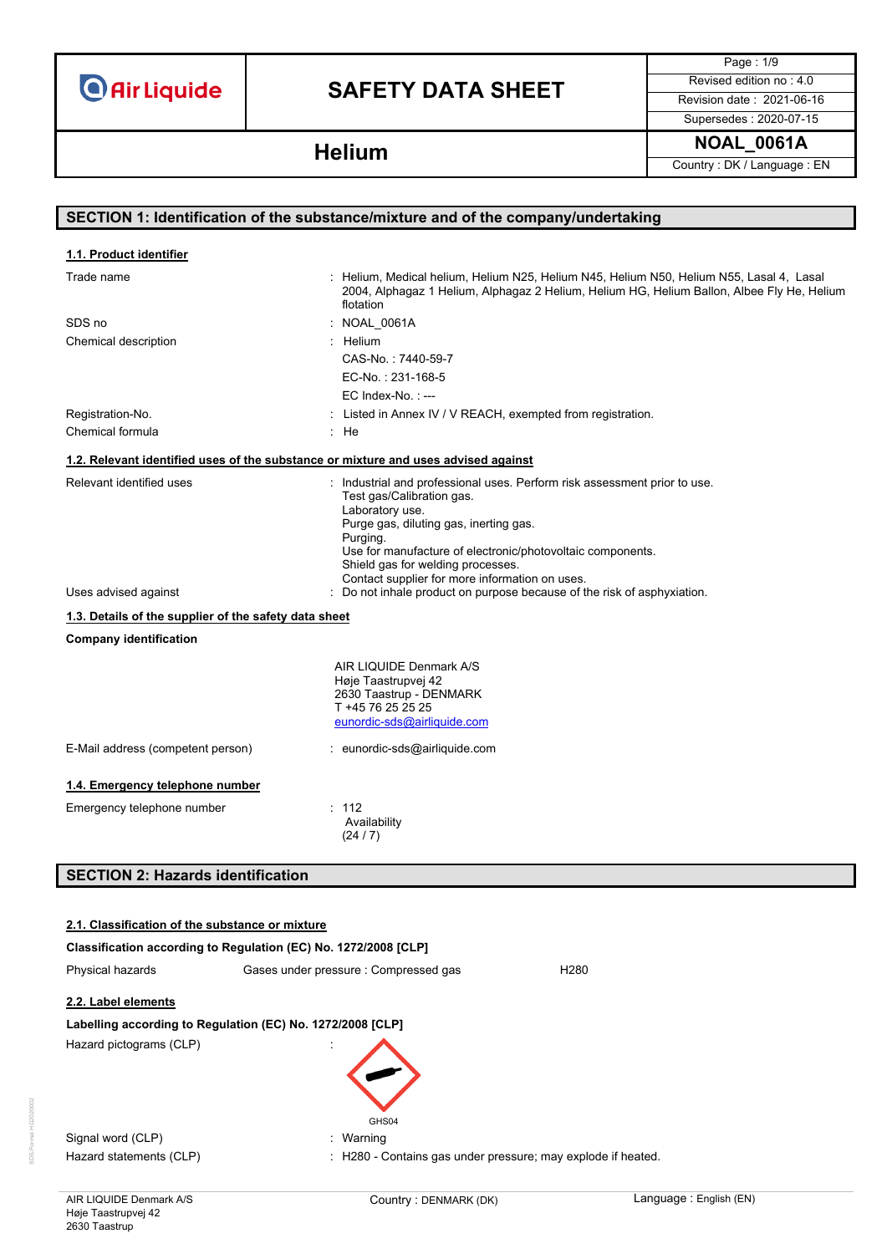# **SAFETY DATA SHEET** Revised edition no : 4.0

Page : 1/9

Supersedes : 2020-07-15

**SECTION 1: Identification of the substance/mixture and of the company/undertaking**

**NOAL\_0061A Helium** Country : DK / Language : EN

### Trade name **in the state of the state of the state of the state of the state of the state of the state of the state 1**<br>Trade name in N55, Lasal 4, Lasal 4, Lasal 5, Lasal 4, Lasal 5, Helium N25, Helium N55, Helium N55, Las 2004, Alphagaz 1 Helium, Alphagaz 2 Helium, Helium HG, Helium Ballon, Albee Fly He, Helium flotation SDS no : NOAL\_0061A Chemical description in the control of the chemical description in the control of the chemical description in the chemical description of the chemical description of the chemical description of the chemical description of CAS-No. : 7440-59-7 EC-No. : 231-168-5 EC Index-No. : --- Registration-No. **In a construct in Annex IV / V REACH, exempted from registration.** Chemical formula in the set of the set of the set of the set of the set of the set of the set of the set of the set of the set of the set of the set of the set of the set of the set of the set of the set of the set of the Relevant identified uses **industrial and professional uses**. Perform risk assessment prior to use. Test gas/Calibration gas. Laboratory use. Purge gas, diluting gas, inerting gas. Purging. **1.1. Product identifier 1.2. Relevant identified uses of the substance or mixture and uses advised against**

Use for manufacture of electronic/photovoltaic components. Shield gas for welding processes. Contact supplier for more information on uses. Uses advised against **interpret in the cause of the risk of asphyxiation.** Conot inhale product on purpose because of the risk of asphyxiation. **Company identification** AIR LIQUIDE Denmark A/S Høje Taastrupvej 42 2630 Taastrup - DENMARK T +45 76 25 25 25 [eunordic-sds@airliquide.com](mailto:eunordic-sds@airliquide.com) E-Mail address (competent person) : eunordic-sds@airliquide.com **1.4. Emergency telephone number** Emergency telephone number : 112 Availability **1.3. Details of the supplier of the safety data sheet**

# **SECTION 2: Hazards identification**

| 2.1. Classification of the substance or mixture            |                                                                 |                  |
|------------------------------------------------------------|-----------------------------------------------------------------|------------------|
|                                                            | Classification according to Regulation (EC) No. 1272/2008 [CLP] |                  |
| Physical hazards                                           | Gases under pressure : Compressed gas                           | H <sub>280</sub> |
| 2.2. Label elements                                        |                                                                 |                  |
| Labelling according to Regulation (EC) No. 1272/2008 [CLP] |                                                                 |                  |
| Hazard pictograms (CLP)                                    |                                                                 |                  |
| Signal word (CLP)                                          | GHS04<br>: Warning                                              |                  |
| Hazard statements (CLP)                                    | : H280 - Contains gas under pressure; may explode if heated.    |                  |

(24 / 7)

SDS-Format HG2020002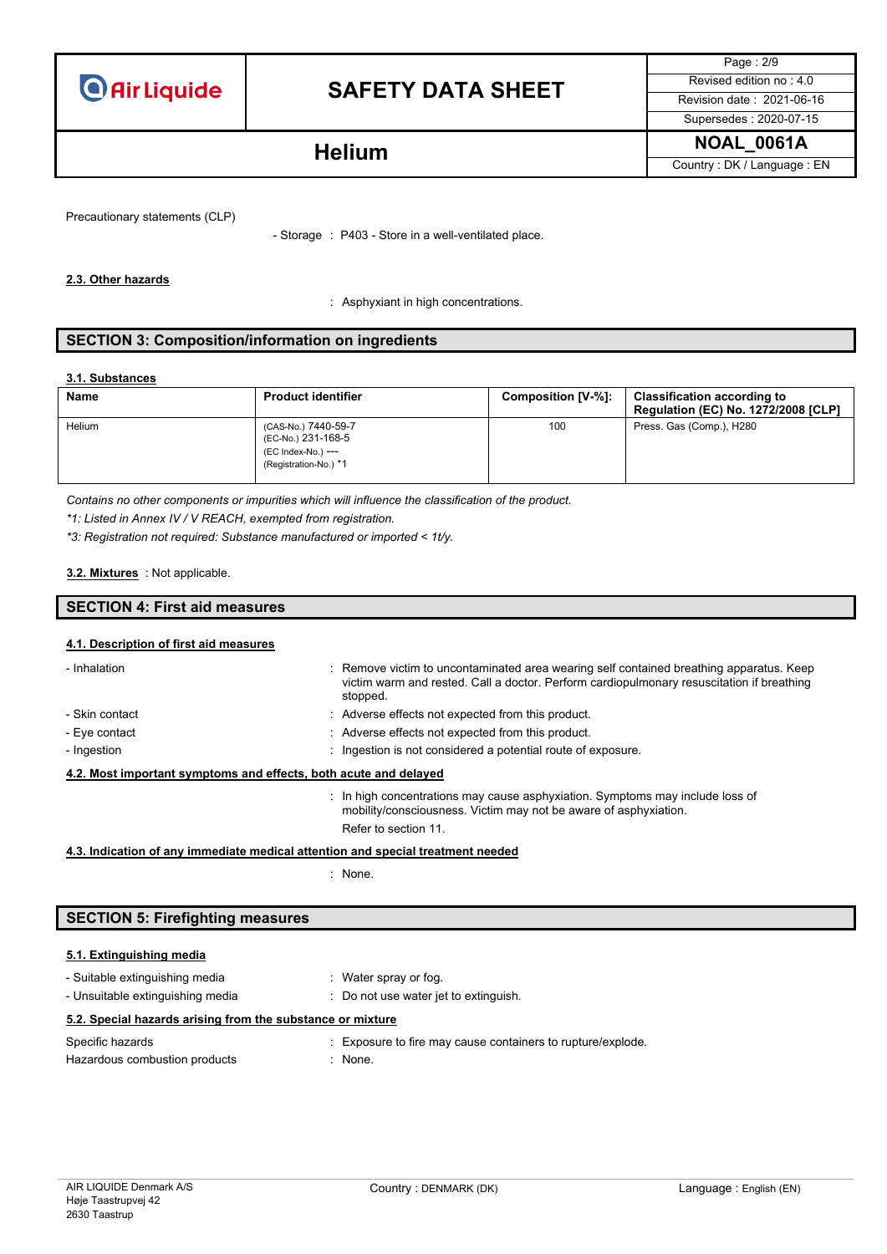

# **SAFETY DATA SHEET** Revised edition no : 4.0

Page : 2/9 Supersedes : 2020-07-15

**NOAL\_0061A Helium** Country : DK / Language : EN

Precautionary statements (CLP)

- Storage : P403 - Store in a well-ventilated place.

### **2.3. Other hazards**

: Asphyxiant in high concentrations.

### **SECTION 3: Composition/information on ingredients**

### **3.1. Substances**

| <b>Name</b> | <b>Product identifier</b>                                                                | Composition [V-%]: | <b>Classification according to</b><br><b>Regulation (EC) No. 1272/2008 [CLP]</b> |
|-------------|------------------------------------------------------------------------------------------|--------------------|----------------------------------------------------------------------------------|
| Helium      | (CAS-No.) 7440-59-7<br>(EC-No.) 231-168-5<br>(EC Index-No.) ---<br>(Registration-No.) *1 | 100                | Press. Gas (Comp.), H280                                                         |

*Contains no other components or impurities which will influence the classification of the product.*

*\*1: Listed in Annex IV / V REACH, exempted from registration.*

*\*3: Registration not required: Substance manufactured or imported < 1t/y.*

### : Not applicable. **3.2. Mixtures**

## **SECTION 4: First aid measures**

### **4.1. Description of first aid measures**

| - Inhalation                                                     |  | : Remove victim to uncontaminated area wearing self contained breathing apparatus. Keep<br>victim warm and rested. Call a doctor. Perform cardiopulmonary resuscitation if breathing<br>stopped. |
|------------------------------------------------------------------|--|--------------------------------------------------------------------------------------------------------------------------------------------------------------------------------------------------|
| - Skin contact                                                   |  | : Adverse effects not expected from this product.                                                                                                                                                |
| - Eye contact                                                    |  | : Adverse effects not expected from this product.                                                                                                                                                |
| - Ingestion                                                      |  | : Ingestion is not considered a potential route of exposure.                                                                                                                                     |
| 4.2. Most important symptoms and effects, both acute and delayed |  |                                                                                                                                                                                                  |
|                                                                  |  | $\therefore$ In high concentrations may cause asphyxiation. Symptoms may include loss of<br>mobility/consciousness. Victim may not be aware of asphyxiation.                                     |

### **4.3. Indication of any immediate medical attention and special treatment needed**

: None.

Refer to section 11.

## **SECTION 5: Firefighting measures**

### **5.1. Extinguishing media**

| - Suitable extinguishing media<br>- Unsuitable extinguishing media | : Water spray or fog.<br>Do not use water jet to extinguish. |
|--------------------------------------------------------------------|--------------------------------------------------------------|
| 5.2. Special hazards arising from the substance or mixture         |                                                              |
| Specific hazards                                                   | : Exposure to fire may cause containers to rupture/explode.  |
| Hazardous combustion products                                      | : None.                                                      |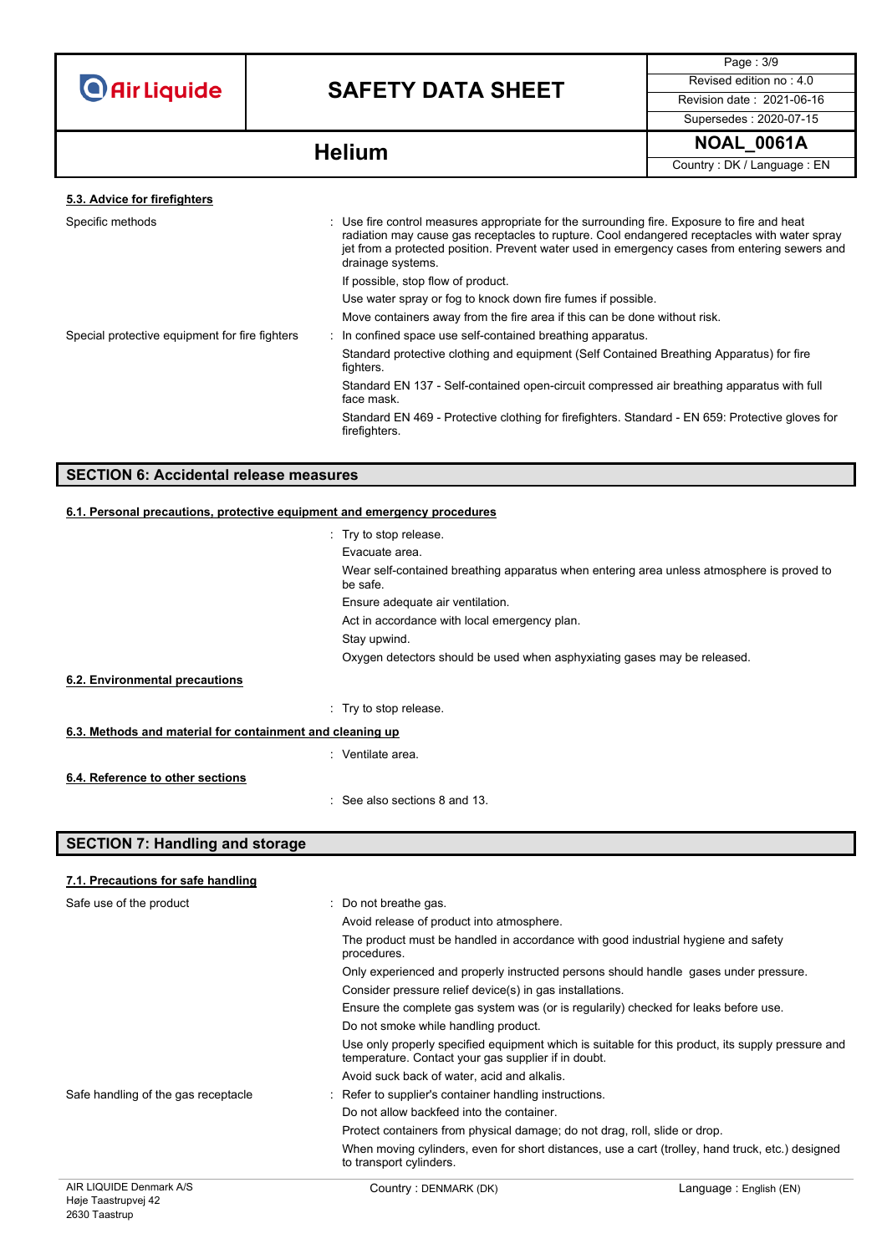# **SAFETY DATA SHEET** Revised edition no : 4.0

Page : 3/9 Supersedes : 2020-07-15

**NOAL\_0061A Helium**

Country : DK / Language : EN

### **5.3. Advice for firefighters**

| Specific methods                               | : Use fire control measures appropriate for the surrounding fire. Exposure to fire and heat<br>radiation may cause gas receptacles to rupture. Cool endangered receptacles with water spray<br>jet from a protected position. Prevent water used in emergency cases from entering sewers and<br>drainage systems. |
|------------------------------------------------|-------------------------------------------------------------------------------------------------------------------------------------------------------------------------------------------------------------------------------------------------------------------------------------------------------------------|
|                                                | If possible, stop flow of product.                                                                                                                                                                                                                                                                                |
|                                                | Use water spray or fog to knock down fire fumes if possible.                                                                                                                                                                                                                                                      |
|                                                | Move containers away from the fire area if this can be done without risk.                                                                                                                                                                                                                                         |
| Special protective equipment for fire fighters | : In confined space use self-contained breathing apparatus.                                                                                                                                                                                                                                                       |
|                                                | Standard protective clothing and equipment (Self Contained Breathing Apparatus) for fire<br>fighters.                                                                                                                                                                                                             |
|                                                | Standard EN 137 - Self-contained open-circuit compressed air breathing apparatus with full<br>face mask.                                                                                                                                                                                                          |
|                                                | Standard EN 469 - Protective clothing for firefighters. Standard - EN 659: Protective gloves for<br>firefighters.                                                                                                                                                                                                 |
|                                                |                                                                                                                                                                                                                                                                                                                   |

## **SECTION 6: Accidental release measures**

### **6.1. Personal precautions, protective equipment and emergency procedures**

|                                                           | . Try to stop release.                                                                                |  |
|-----------------------------------------------------------|-------------------------------------------------------------------------------------------------------|--|
|                                                           | Evacuate area.                                                                                        |  |
|                                                           | Wear self-contained breathing apparatus when entering area unless atmosphere is proved to<br>be safe. |  |
|                                                           | Ensure adequate air ventilation.                                                                      |  |
|                                                           | Act in accordance with local emergency plan.                                                          |  |
|                                                           | Stay upwind.                                                                                          |  |
|                                                           | Oxygen detectors should be used when asphyxiating gases may be released.                              |  |
| 6.2. Environmental precautions                            |                                                                                                       |  |
|                                                           | : Try to stop release.                                                                                |  |
| 6.3. Methods and material for containment and cleaning up |                                                                                                       |  |
|                                                           | : Ventilate area.                                                                                     |  |
| 6.4. Reference to other sections                          |                                                                                                       |  |
|                                                           | See also sections 8 and 13.                                                                           |  |

## **SECTION 7: Handling and storage**

### **7.1. Precautions for safe handling**

| Safe use of the product             | $\therefore$ Do not breathe gas.                                                                                                                         |
|-------------------------------------|----------------------------------------------------------------------------------------------------------------------------------------------------------|
|                                     | Avoid release of product into atmosphere.                                                                                                                |
|                                     | The product must be handled in accordance with good industrial hygiene and safety<br>procedures.                                                         |
|                                     | Only experienced and properly instructed persons should handle gases under pressure.                                                                     |
|                                     | Consider pressure relief device(s) in gas installations.                                                                                                 |
|                                     | Ensure the complete gas system was (or is regularily) checked for leaks before use.                                                                      |
|                                     | Do not smoke while handling product.                                                                                                                     |
|                                     | Use only properly specified equipment which is suitable for this product, its supply pressure and<br>temperature. Contact your gas supplier if in doubt. |
|                                     | Avoid suck back of water, acid and alkalis.                                                                                                              |
| Safe handling of the gas receptacle | : Refer to supplier's container handling instructions.                                                                                                   |
|                                     | Do not allow backfeed into the container.                                                                                                                |
|                                     | Protect containers from physical damage; do not drag, roll, slide or drop.                                                                               |
|                                     | When moving cylinders, even for short distances, use a cart (trolley, hand truck, etc.) designed<br>to transport cylinders.                              |
| $\overline{10}$                     |                                                                                                                                                          |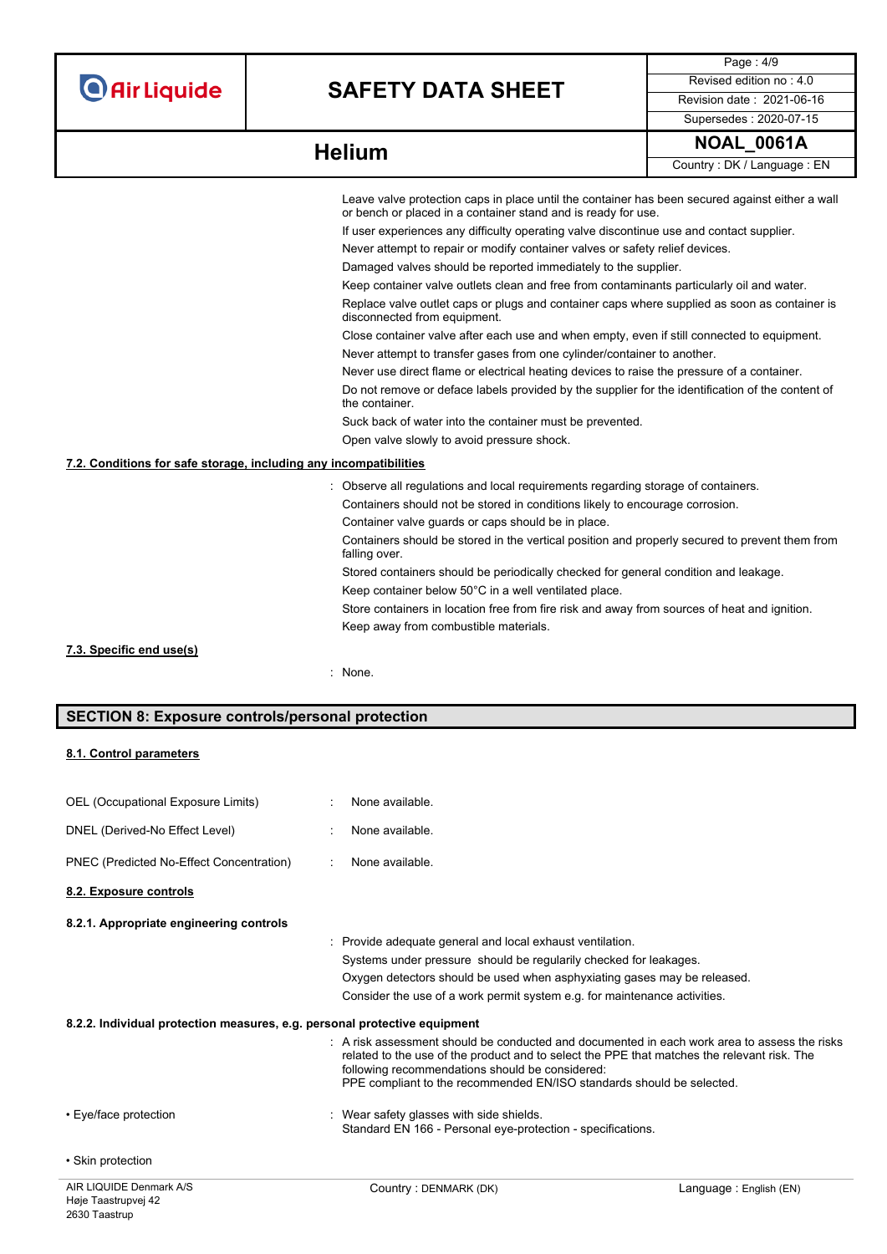# **SAFETY DATA SHEET** Revised edition no : 4.0

Page : 4/9 Supersedes : 2020-07-15

|                                                                   | Leave valve protection caps in place until the container has been secured against either a wall<br>or bench or placed in a container stand and is ready for use. |
|-------------------------------------------------------------------|------------------------------------------------------------------------------------------------------------------------------------------------------------------|
|                                                                   | If user experiences any difficulty operating valve discontinue use and contact supplier.                                                                         |
|                                                                   | Never attempt to repair or modify container valves or safety relief devices.                                                                                     |
|                                                                   | Damaged valves should be reported immediately to the supplier.                                                                                                   |
|                                                                   | Keep container valve outlets clean and free from contaminants particularly oil and water.                                                                        |
|                                                                   | Replace valve outlet caps or plugs and container caps where supplied as soon as container is<br>disconnected from equipment.                                     |
|                                                                   | Close container valve after each use and when empty, even if still connected to equipment.                                                                       |
|                                                                   | Never attempt to transfer gases from one cylinder/container to another.                                                                                          |
|                                                                   | Never use direct flame or electrical heating devices to raise the pressure of a container.                                                                       |
|                                                                   | Do not remove or deface labels provided by the supplier for the identification of the content of<br>the container.                                               |
|                                                                   | Suck back of water into the container must be prevented.                                                                                                         |
|                                                                   | Open valve slowly to avoid pressure shock.                                                                                                                       |
| 7.2. Conditions for safe storage, including any incompatibilities |                                                                                                                                                                  |
|                                                                   | : Observe all regulations and local requirements regarding storage of containers.                                                                                |
|                                                                   | Containers should not be stored in conditions likely to encourage corrosion.                                                                                     |
|                                                                   | Container valve guards or caps should be in place.                                                                                                               |
|                                                                   | Containers should be stored in the vertical position and properly secured to prevent them from<br>falling over.                                                  |
|                                                                   | Stored containers should be periodically checked for general condition and leakage.                                                                              |
|                                                                   | Keep container below 50°C in a well ventilated place.                                                                                                            |
|                                                                   | Store containers in location free from fire risk and away from sources of heat and ignition.                                                                     |
|                                                                   | Keep away from combustible materials.                                                                                                                            |
| 7.3. Specific end use(s)                                          |                                                                                                                                                                  |
|                                                                   | : None.                                                                                                                                                          |
|                                                                   |                                                                                                                                                                  |

# **SECTION 8: Exposure controls/personal protection**

### **8.1. Control parameters**

| AIR LIQUIDE Denmark A/S                                                   | Country: DENMARK (DK)                                                                                                                                                                                                   | Language: English (EN)                                                                           |
|---------------------------------------------------------------------------|-------------------------------------------------------------------------------------------------------------------------------------------------------------------------------------------------------------------------|--------------------------------------------------------------------------------------------------|
| • Skin protection                                                         |                                                                                                                                                                                                                         |                                                                                                  |
| • Eye/face protection                                                     | : Wear safety glasses with side shields.<br>Standard EN 166 - Personal eye-protection - specifications.                                                                                                                 |                                                                                                  |
|                                                                           | related to the use of the product and to select the PPE that matches the relevant risk. The<br>following recommendations should be considered:<br>PPE compliant to the recommended EN/ISO standards should be selected. | $\pm$ A risk assessment should be conducted and documented in each work area to assess the risks |
| 8.2.2. Individual protection measures, e.g. personal protective equipment |                                                                                                                                                                                                                         |                                                                                                  |
|                                                                           | Consider the use of a work permit system e.g. for maintenance activities.                                                                                                                                               |                                                                                                  |
|                                                                           | Oxygen detectors should be used when asphyxiating gases may be released.                                                                                                                                                |                                                                                                  |
|                                                                           | Systems under pressure should be regularily checked for leakages.                                                                                                                                                       |                                                                                                  |
| 8.2.1. Appropriate engineering controls                                   | Provide adequate general and local exhaust ventilation.                                                                                                                                                                 |                                                                                                  |
| 8.2. Exposure controls                                                    |                                                                                                                                                                                                                         |                                                                                                  |
| PNEC (Predicted No-Effect Concentration)                                  | None available.                                                                                                                                                                                                         |                                                                                                  |
|                                                                           |                                                                                                                                                                                                                         |                                                                                                  |
| DNEL (Derived-No Effect Level)                                            | None available.                                                                                                                                                                                                         |                                                                                                  |
| OEL (Occupational Exposure Limits)                                        | None available.                                                                                                                                                                                                         |                                                                                                  |
|                                                                           |                                                                                                                                                                                                                         |                                                                                                  |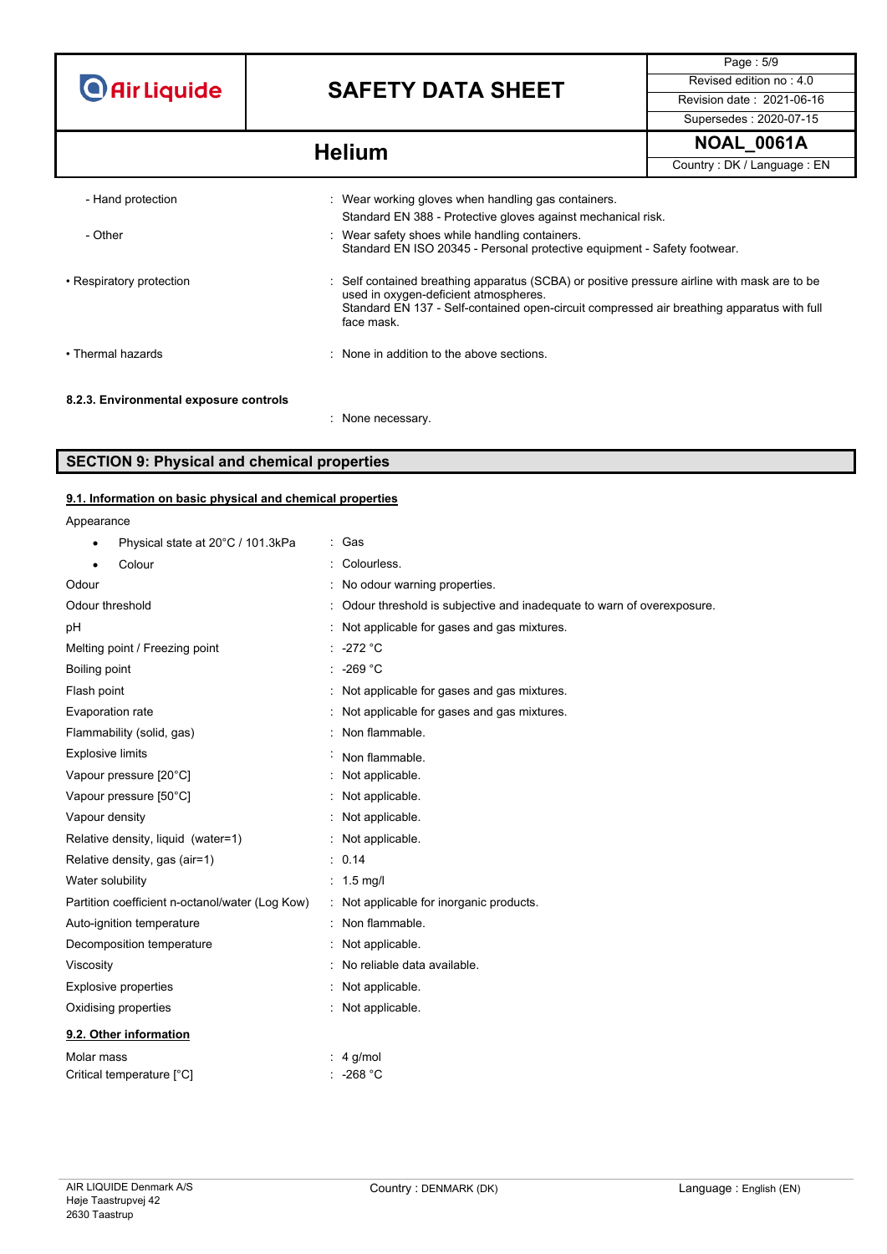# **SAFETY DATA SHEET** Revised edition no : 4.0

Page : 5/9 Supersedes : 2020-07-15

# **NOAL\_0061A Helium**

Country : DK / Language : EN

| - Hand protection                      | : Wear working gloves when handling gas containers.                                                                                                                                                                                               |
|----------------------------------------|---------------------------------------------------------------------------------------------------------------------------------------------------------------------------------------------------------------------------------------------------|
| - Other                                | Standard EN 388 - Protective gloves against mechanical risk.<br>: Wear safety shoes while handling containers.<br>Standard EN ISO 20345 - Personal protective equipment - Safety footwear.                                                        |
| • Respiratory protection               | : Self contained breathing apparatus (SCBA) or positive pressure airline with mask are to be<br>used in oxygen-deficient atmospheres.<br>Standard EN 137 - Self-contained open-circuit compressed air breathing apparatus with full<br>face mask. |
| • Thermal hazards                      | None in addition to the above sections.                                                                                                                                                                                                           |
| 8.2.3. Environmental exposure controls | : None necessary                                                                                                                                                                                                                                  |

## **SECTION 9: Physical and chemical properties**

### **9.1. Information on basic physical and chemical properties**

Appearance

| Physical state at 20°C / 101.3kPa               | : Gas                                                                 |
|-------------------------------------------------|-----------------------------------------------------------------------|
| Colour                                          | : Colourless.                                                         |
| Odour                                           | : No odour warning properties.                                        |
| Odour threshold                                 | Odour threshold is subjective and inadequate to warn of overexposure. |
| рH                                              | : Not applicable for gases and gas mixtures.                          |
| Melting point / Freezing point                  | $: -272 °C$                                                           |
| Boiling point                                   | $\therefore$ -269 °C                                                  |
| Flash point                                     | : Not applicable for gases and gas mixtures.                          |
| Evaporation rate                                | : Not applicable for gases and gas mixtures.                          |
| Flammability (solid, gas)                       | : Non flammable.                                                      |
| <b>Explosive limits</b>                         | Non flammable.                                                        |
| Vapour pressure [20°C]                          | : Not applicable.                                                     |
| Vapour pressure [50°C]                          | : Not applicable.                                                     |
| Vapour density                                  | : Not applicable.                                                     |
| Relative density, liquid (water=1)              | : Not applicable.                                                     |
| Relative density, gas (air=1)                   | : 0.14                                                                |
| Water solubility                                | : $1.5 \text{ mq/l}$                                                  |
| Partition coefficient n-octanol/water (Log Kow) | : Not applicable for inorganic products.                              |
| Auto-ignition temperature                       | : Non flammable.                                                      |
| Decomposition temperature                       | Not applicable.                                                       |
| Viscosity                                       | : No reliable data available.                                         |
| <b>Explosive properties</b>                     | : Not applicable.                                                     |
| Oxidising properties                            | : Not applicable.                                                     |
| 9.2. Other information                          |                                                                       |
| Molar mass                                      | $: 4$ g/mol                                                           |
| Critical temperature [°C]                       | -268 °C                                                               |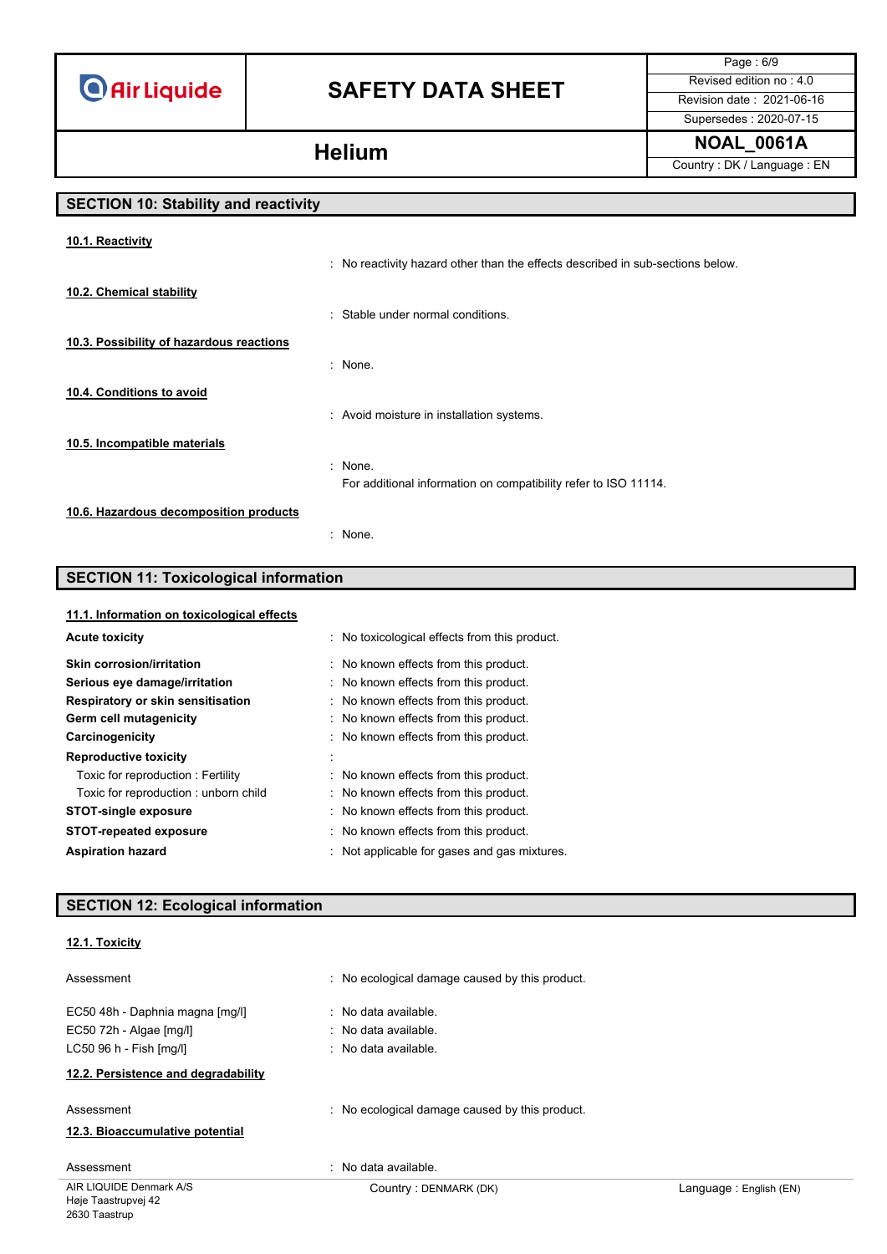# **SAFETY DATA SHEET** Revised edition no : 4.0

Page : 6/9 Supersedes : 2020-07-15

**NOAL\_0061A Helium**

Country : DK / Language : EN

# **SECTION 10: Stability and reactivity**

| 10.1. Reactivity                         |                                                                                |
|------------------------------------------|--------------------------------------------------------------------------------|
|                                          | : No reactivity hazard other than the effects described in sub-sections below. |
| 10.2. Chemical stability                 |                                                                                |
|                                          | : Stable under normal conditions.                                              |
| 10.3. Possibility of hazardous reactions |                                                                                |
|                                          | : None                                                                         |
| 10.4. Conditions to avoid                |                                                                                |
|                                          | : Avoid moisture in installation systems.                                      |
| 10.5. Incompatible materials             |                                                                                |
|                                          | : None.                                                                        |
|                                          | For additional information on compatibility refer to ISO 11114.                |
| 10.6. Hazardous decomposition products   |                                                                                |
|                                          | : None.                                                                        |

## **SECTION 11: Toxicological information**

### **11.1. Information on toxicological effects**

| <b>Acute toxicity</b>                | : No toxicological effects from this product. |
|--------------------------------------|-----------------------------------------------|
| <b>Skin corrosion/irritation</b>     | No known effects from this product.           |
| Serious eye damage/irritation        | No known effects from this product.           |
| Respiratory or skin sensitisation    | : No known effects from this product.         |
| Germ cell mutagenicity               | : No known effects from this product.         |
| Carcinogenicity                      | : No known effects from this product.         |
| <b>Reproductive toxicity</b>         |                                               |
| Toxic for reproduction: Fertility    | No known effects from this product.           |
| Toxic for reproduction: unborn child | : No known effects from this product.         |
| <b>STOT-single exposure</b>          | No known effects from this product.           |
| <b>STOT-repeated exposure</b>        | : No known effects from this product.         |
| <b>Aspiration hazard</b>             | Not applicable for gases and gas mixtures.    |

# **SECTION 12: Ecological information**

### **12.1. Toxicity**

| Assessment                          | : No ecological damage caused by this product. |                        |
|-------------------------------------|------------------------------------------------|------------------------|
| EC50 48h - Daphnia magna [mg/l]     | : No data available.                           |                        |
| EC50 72h - Algae [mg/l]             | : No data available.                           |                        |
| LC50 96 h - Fish [mq/l]             | $\therefore$ No data available.                |                        |
| 12.2. Persistence and degradability |                                                |                        |
| Assessment                          | : No ecological damage caused by this product. |                        |
| 12.3. Bioaccumulative potential     |                                                |                        |
| Assessment                          | : No data available.                           |                        |
| AIR LIQUIDE Denmark A/S             | Country: DENMARK (DK)                          | Language: English (EN) |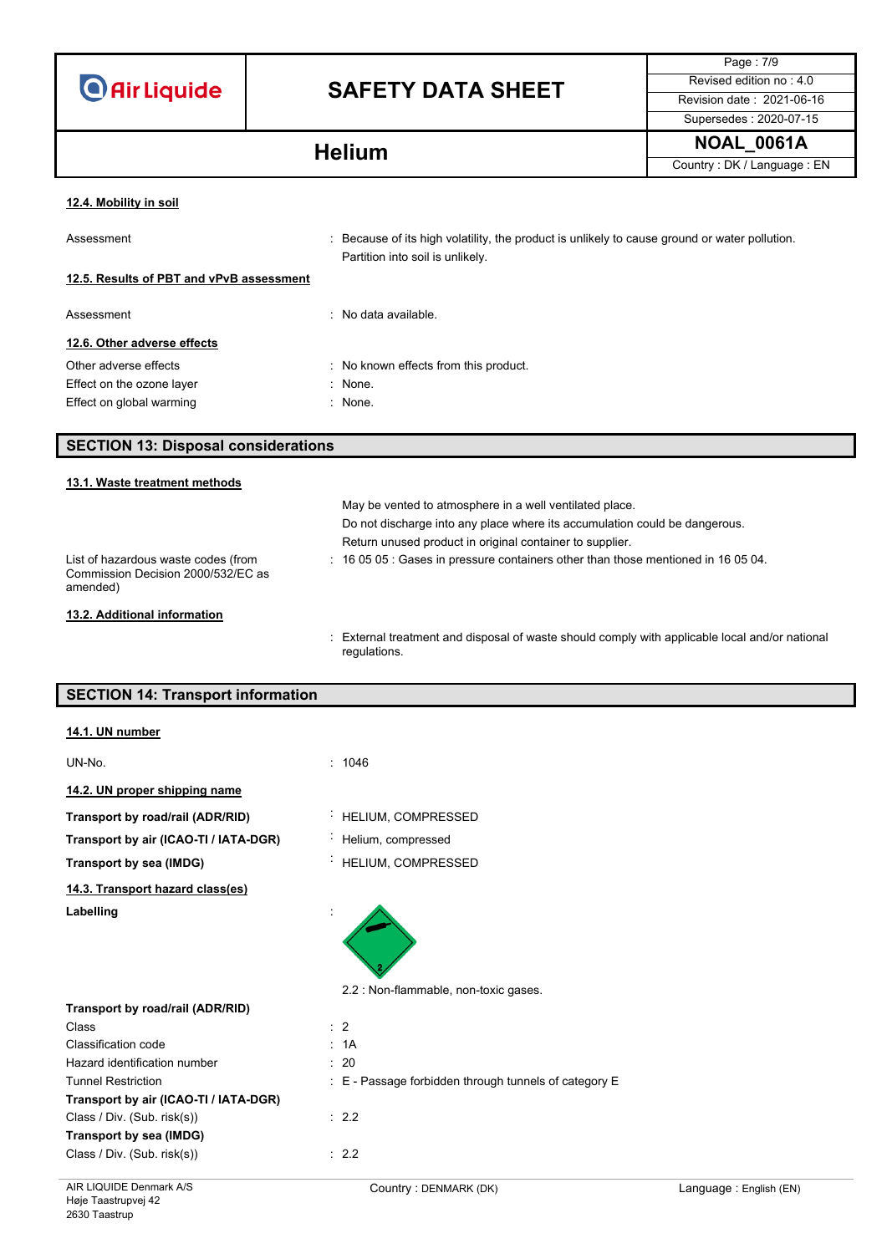|  | <b>O</b> Air Liquide |  |
|--|----------------------|--|
|  |                      |  |

# **SAFETY DATA SHEET** Revised edition no : 4.0

Page : 7/9 Supersedes : 2020-07-15

**NOAL\_0061A Helium**

Country : DK / Language : EN

### **12.4. Mobility in soil**

| Assessment                               | : Because of its high volatility, the product is unlikely to cause ground or water pollution.<br>Partition into soil is unlikely. |
|------------------------------------------|-----------------------------------------------------------------------------------------------------------------------------------|
| 12.5. Results of PBT and vPvB assessment |                                                                                                                                   |
| Assessment                               | : No data available.                                                                                                              |
| 12.6. Other adverse effects              |                                                                                                                                   |
| Other adverse effects                    | : No known effects from this product.                                                                                             |
| Effect on the ozone layer                | $:$ None.                                                                                                                         |
| Effect on global warming                 | : None.                                                                                                                           |

## **SECTION 13: Disposal considerations**

## **13.1. Waste treatment methods** May be vented to atmosphere in a well ventilated place. Do not discharge into any place where its accumulation could be dangerous. Return unused product in original container to supplier. List of hazardous waste codes (from Commission Decision 2000/532/EC as amended) : 16 05 05 : Gases in pressure containers other than those mentioned in 16 05 04. **13.2. Additional information**

: External treatment and disposal of waste should comply with applicable local and/or national regulations.

## **SECTION 14: Transport information**

| 14.1. UN number                       |                                                       |                        |
|---------------------------------------|-------------------------------------------------------|------------------------|
| UN-No.                                | : 1046                                                |                        |
| 14.2. UN proper shipping name         |                                                       |                        |
| Transport by road/rail (ADR/RID)      | HELIUM, COMPRESSED                                    |                        |
| Transport by air (ICAO-TI / IATA-DGR) | Helium, compressed                                    |                        |
| Transport by sea (IMDG)               | HELIUM, COMPRESSED                                    |                        |
| 14.3. Transport hazard class(es)      |                                                       |                        |
| Labelling                             | 2.2 : Non-flammable, non-toxic gases.                 |                        |
| Transport by road/rail (ADR/RID)      |                                                       |                        |
| Class                                 | $\therefore$ 2                                        |                        |
| Classification code                   | : 1A                                                  |                        |
| Hazard identification number          | : 20                                                  |                        |
| <b>Tunnel Restriction</b>             | : E - Passage forbidden through tunnels of category E |                        |
| Transport by air (ICAO-TI / IATA-DGR) |                                                       |                        |
| Class / Div. (Sub. risk(s))           | : 2.2                                                 |                        |
| Transport by sea (IMDG)               |                                                       |                        |
| Class / Div. (Sub. risk(s))           | : 2.2                                                 |                        |
| AIR LIQUIDE Denmark A/S               | Country: DENMARK (DK)                                 | Language: English (EN) |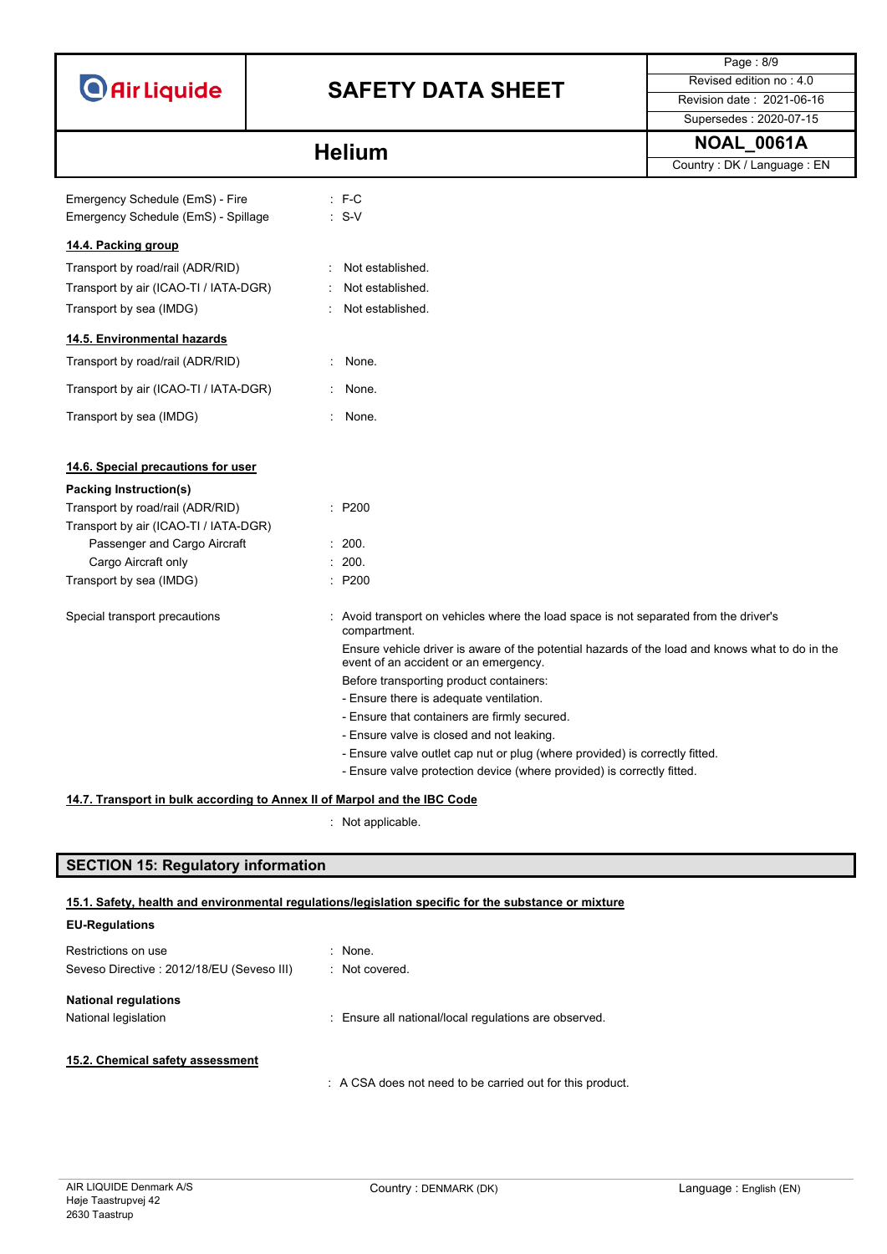|                                                                          |                  |                                                                                                                                          | Page: 8/9                    |
|--------------------------------------------------------------------------|------------------|------------------------------------------------------------------------------------------------------------------------------------------|------------------------------|
| <b>O</b> Air Liquide                                                     |                  | <b>SAFETY DATA SHEET</b>                                                                                                                 | Revised edition no: 4.0      |
|                                                                          |                  |                                                                                                                                          | Revision date: 2021-06-16    |
|                                                                          |                  |                                                                                                                                          | Supersedes: 2020-07-15       |
|                                                                          | <b>Helium</b>    |                                                                                                                                          | <b>NOAL_0061A</b>            |
|                                                                          |                  |                                                                                                                                          | Country : DK / Language : EN |
| Emergency Schedule (EmS) - Fire                                          | $:$ F-C          |                                                                                                                                          |                              |
| Emergency Schedule (EmS) - Spillage                                      | $: S-V$          |                                                                                                                                          |                              |
|                                                                          |                  |                                                                                                                                          |                              |
| 14.4. Packing group                                                      |                  |                                                                                                                                          |                              |
| Transport by road/rail (ADR/RID)                                         | Not established. |                                                                                                                                          |                              |
| Transport by air (ICAO-TI / IATA-DGR)                                    | Not established. |                                                                                                                                          |                              |
| Transport by sea (IMDG)                                                  | Not established. |                                                                                                                                          |                              |
| 14.5. Environmental hazards                                              |                  |                                                                                                                                          |                              |
| Transport by road/rail (ADR/RID)                                         | : None.          |                                                                                                                                          |                              |
| Transport by air (ICAO-TI / IATA-DGR)                                    | None.            |                                                                                                                                          |                              |
| Transport by sea (IMDG)                                                  | None.            |                                                                                                                                          |                              |
|                                                                          |                  |                                                                                                                                          |                              |
| 14.6. Special precautions for user                                       |                  |                                                                                                                                          |                              |
| Packing Instruction(s)                                                   |                  |                                                                                                                                          |                              |
| Transport by road/rail (ADR/RID)                                         | : P200           |                                                                                                                                          |                              |
| Transport by air (ICAO-TI / IATA-DGR)                                    |                  |                                                                                                                                          |                              |
| Passenger and Cargo Aircraft                                             | : 200.           |                                                                                                                                          |                              |
| Cargo Aircraft only                                                      | : 200.           |                                                                                                                                          |                              |
| Transport by sea (IMDG)                                                  | : P200           |                                                                                                                                          |                              |
| Special transport precautions                                            | compartment.     | : Avoid transport on vehicles where the load space is not separated from the driver's                                                    |                              |
|                                                                          |                  | Ensure vehicle driver is aware of the potential hazards of the load and knows what to do in the<br>event of an accident or an emergency. |                              |
|                                                                          |                  | Before transporting product containers:                                                                                                  |                              |
|                                                                          |                  | - Ensure there is adequate ventilation.                                                                                                  |                              |
|                                                                          |                  | - Ensure that containers are firmly secured.                                                                                             |                              |
|                                                                          |                  | - Ensure valve is closed and not leaking.                                                                                                |                              |
|                                                                          |                  | - Ensure valve outlet cap nut or plug (where provided) is correctly fitted.                                                              |                              |
|                                                                          |                  | - Ensure valve protection device (where provided) is correctly fitted.                                                                   |                              |
| 14.7. Transport in bulk according to Annex II of Marpol and the IBC Code |                  |                                                                                                                                          |                              |

: Not applicable.

# **SECTION 15: Regulatory information**

### **15.1. Safety, health and environmental regulations/legislation specific for the substance or mixture**

| <b>EU-Regulations</b>                      |                                                           |
|--------------------------------------------|-----------------------------------------------------------|
| Restrictions on use                        | $\therefore$ None.                                        |
| Seveso Directive : 2012/18/EU (Seveso III) | : Not covered.                                            |
| <b>National regulations</b>                |                                                           |
| National legislation                       | : Ensure all national/local regulations are observed.     |
|                                            |                                                           |
| 15.2. Chemical safety assessment           |                                                           |
|                                            | : A CSA does not need to be carried out for this product. |